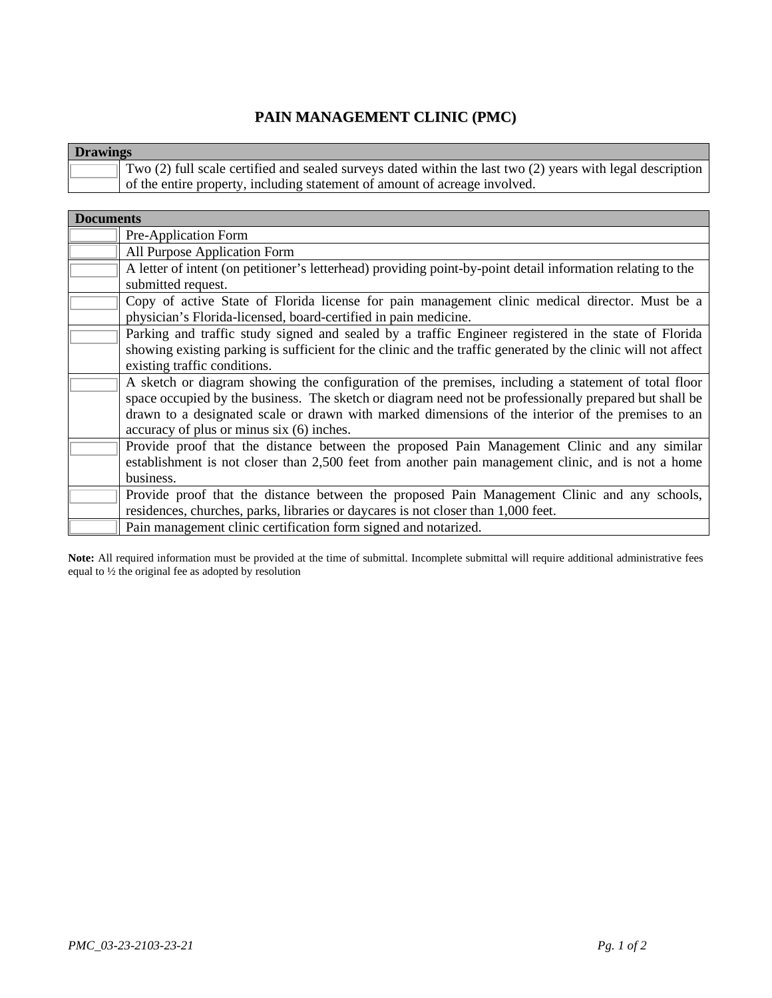## **PAIN MANAGEMENT CLINIC (PMC)**

|                                                                                                                        | <b>Drawings</b> |  |  |
|------------------------------------------------------------------------------------------------------------------------|-----------------|--|--|
| $\parallel$ Two (2) full scale certified and sealed surveys dated within the last two (2) years with legal description |                 |  |  |
| of the entire property, including statement of amount of acreage involved.                                             |                 |  |  |

| <b>Documents</b> |                                                                                                               |
|------------------|---------------------------------------------------------------------------------------------------------------|
|                  | Pre-Application Form                                                                                          |
|                  | All Purpose Application Form                                                                                  |
|                  | A letter of intent (on petitioner's letterhead) providing point-by-point detail information relating to the   |
|                  | submitted request.                                                                                            |
|                  | Copy of active State of Florida license for pain management clinic medical director. Must be a                |
|                  | physician's Florida-licensed, board-certified in pain medicine.                                               |
|                  | Parking and traffic study signed and sealed by a traffic Engineer registered in the state of Florida          |
|                  | showing existing parking is sufficient for the clinic and the traffic generated by the clinic will not affect |
|                  | existing traffic conditions.                                                                                  |
|                  | A sketch or diagram showing the configuration of the premises, including a statement of total floor           |
|                  | space occupied by the business. The sketch or diagram need not be professionally prepared but shall be        |
|                  | drawn to a designated scale or drawn with marked dimensions of the interior of the premises to an             |
|                  | accuracy of plus or minus six (6) inches.                                                                     |
|                  | Provide proof that the distance between the proposed Pain Management Clinic and any similar                   |
|                  | establishment is not closer than 2,500 feet from another pain management clinic, and is not a home            |
|                  | business.                                                                                                     |
|                  | Provide proof that the distance between the proposed Pain Management Clinic and any schools,                  |
|                  | residences, churches, parks, libraries or daycares is not closer than 1,000 feet.                             |
|                  | Pain management clinic certification form signed and notarized.                                               |

**Note:** All required information must be provided at the time of submittal. Incomplete submittal will require additional administrative fees equal to ½ the original fee as adopted by resolution